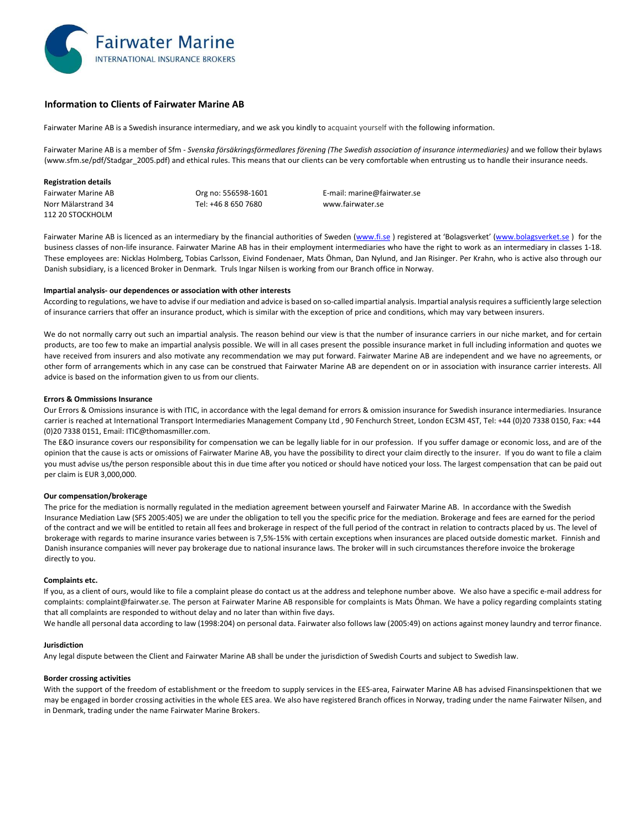

# **Information to Clients of Fairwater Marine AB**

Fairwater Marine AB is a Swedish insurance intermediary, and we ask you kindly to acquaint yourself with the following information.

Fairwater Marine AB is a member of Sfm - Svenska försäkringsförmedlares förening (The Swedish association of insurance intermediaries) and we follow their bylaws (www.sfm.se/pdf/Stadgar\_2005.pdf) and ethical rules. This means that our clients can be very comfortable when entrusting us to handle their insurance needs.

## **Registration details**

Norr Mälarstrand 34 Tel: +46 8 650 7680 www.fairwater.se 112 20 STOCKHOLM

Fairwater Marine AB **Community Community** Org no: 556598-1601 **E**-mail: marine@fairwater.se

Fairwater Marine AB is licenced as an intermediary by the financial authorities of Sweden (www.fi.se) registered at 'Bolagsverket' (www.bolagsverket.se) for the business classes of non‐life insurance. Fairwater Marine AB has in their employment intermediaries who have the right to work as an intermediary in classes 1‐18. These employees are: Nicklas Holmberg, Tobias Carlsson, Eivind Fondenaer, Mats Öhman, Dan Nylund, and Jan Risinger. Per Krahn, who is active also through our Danish subsidiary, is a licenced Broker in Denmark. Truls Ingar Nilsen is working from our Branch office in Norway.

# **Impartial analysis‐ our dependences or association with other interests**

According to regulations, we have to advise if our mediation and advice is based on so-called impartial analysis. Impartial analysis requires a sufficiently large selection of insurance carriers that offer an insurance product, which is similar with the exception of price and conditions, which may vary between insurers.

We do not normally carry out such an impartial analysis. The reason behind our view is that the number of insurance carriers in our niche market, and for certain products, are too few to make an impartial analysis possible. We will in all cases present the possible insurance market in full including information and quotes we have received from insurers and also motivate any recommendation we may put forward. Fairwater Marine AB are independent and we have no agreements, or other form of arrangements which in any case can be construed that Fairwater Marine AB are dependent on or in association with insurance carrier interests. All advice is based on the information given to us from our clients.

## **Errors & Ommissions Insurance**

Our Errors & Omissions insurance is with ITIC, in accordance with the legal demand for errors & omission insurance for Swedish insurance intermediaries. Insurance carrier is reached at International Transport Intermediaries Management Company Ltd , 90 Fenchurch Street, London EC3M 4ST, Tel: +44 (0)20 7338 0150, Fax: +44 (0)20 7338 0151, Email: ITIC@thomasmiller.com.

The E&O insurance covers our responsibility for compensation we can be legally liable for in our profession. If you suffer damage or economic loss, and are of the opinion that the cause is acts or omissions of Fairwater Marine AB, you have the possibility to direct your claim directly to the insurer. If you do want to file a claim you must advise us/the person responsible about this in due time after you noticed or should have noticed your loss. The largest compensation that can be paid out per claim is EUR 3,000,000.

# **Our compensation/brokerage**

The price for the mediation is normally regulated in the mediation agreement between yourself and Fairwater Marine AB. In accordance with the Swedish Insurance Mediation Law (SFS 2005:405) we are under the obligation to tell you the specific price for the mediation. Brokerage and fees are earned for the period of the contract and we will be entitled to retain all fees and brokerage in respect of the full period of the contract in relation to contracts placed by us. The level of brokerage with regards to marine insurance varies between is 7,5%‐15% with certain exceptions when insurances are placed outside domestic market. Finnish and Danish insurance companies will never pay brokerage due to national insurance laws. The broker will in such circumstances therefore invoice the brokerage directly to you.

## **Complaints etc.**

If you, as a client of ours, would like to file a complaint please do contact us at the address and telephone number above. We also have a specific e‐mail address for complaints: complaint@fairwater.se. The person at Fairwater Marine AB responsible for complaints is Mats Öhman. We have a policy regarding complaints stating that all complaints are responded to without delay and no later than within five days.

We handle all personal data according to law (1998:204) on personal data. Fairwater also follows law (2005:49) on actions against money laundry and terror finance.

# **Jurisdiction**

Any legal dispute between the Client and Fairwater Marine AB shall be under the jurisdiction of Swedish Courts and subject to Swedish law.

## **Border crossing activities**

With the support of the freedom of establishment or the freedom to supply services in the EES-area, Fairwater Marine AB has advised Finansinspektionen that we may be engaged in border crossing activities in the whole EES area. We also have registered Branch offices in Norway, trading under the name Fairwater Nilsen, and in Denmark, trading under the name Fairwater Marine Brokers.